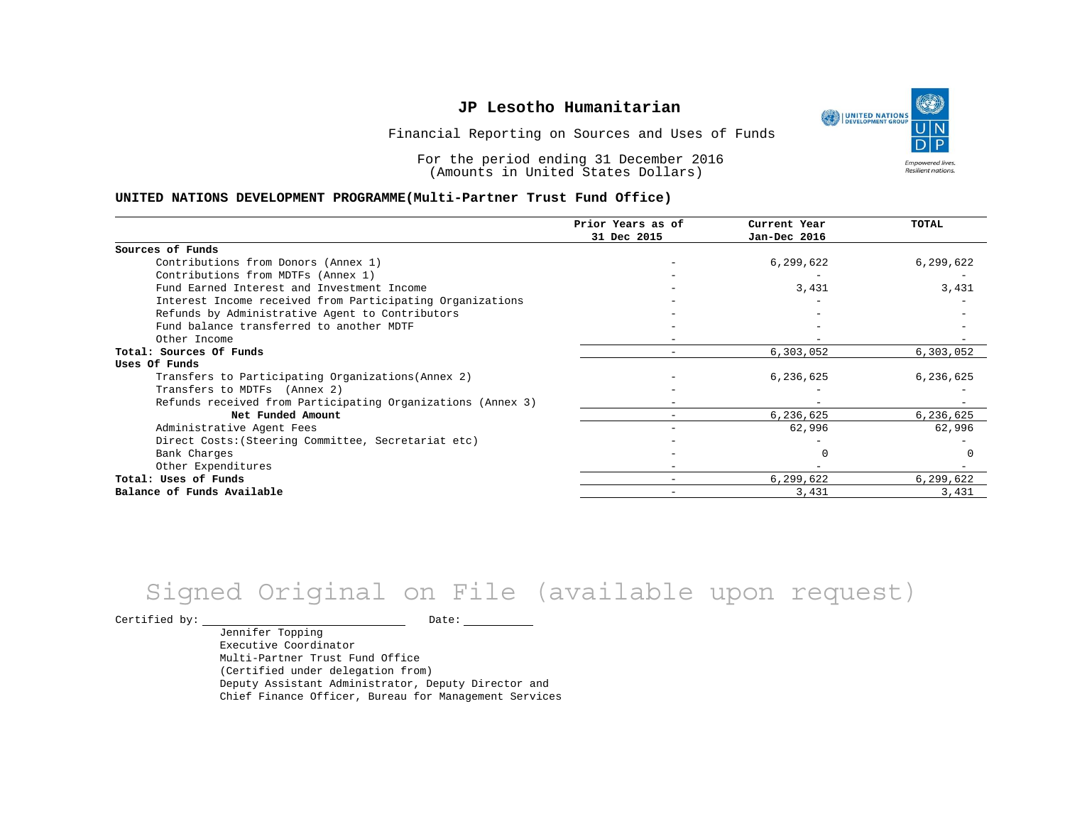UNITED NATIONS **Empowered lives** Resilient nations.

Financial Reporting on Sources and Uses of Funds

For the period ending 31 December 2016 (Amounts in United States Dollars)

#### **UNITED NATIONS DEVELOPMENT PROGRAMME(Multi-Partner Trust Fund Office)**

|                                                             | Prior Years as of<br>31 Dec 2015 | Current Year | TOTAL     |
|-------------------------------------------------------------|----------------------------------|--------------|-----------|
|                                                             |                                  | Jan-Dec 2016 |           |
| Sources of Funds                                            |                                  |              |           |
| Contributions from Donors (Annex 1)                         |                                  | 6,299,622    | 6,299,622 |
| Contributions from MDTFs (Annex 1)                          |                                  |              |           |
| Fund Earned Interest and Investment Income                  |                                  | 3,431        | 3,431     |
| Interest Income received from Participating Organizations   |                                  |              |           |
| Refunds by Administrative Agent to Contributors             |                                  |              |           |
| Fund balance transferred to another MDTF                    |                                  |              |           |
| Other Income                                                |                                  |              |           |
| Total: Sources Of Funds                                     |                                  | 6,303,052    | 6,303,052 |
| Uses Of Funds                                               |                                  |              |           |
| Transfers to Participating Organizations (Annex 2)          |                                  | 6,236,625    | 6,236,625 |
| Transfers to MDTFs (Annex 2)                                |                                  |              |           |
| Refunds received from Participating Organizations (Annex 3) |                                  |              |           |
| Net Funded Amount                                           |                                  | 6,236,625    | 6,236,625 |
| Administrative Agent Fees                                   |                                  | 62,996       | 62,996    |
| Direct Costs: (Steering Committee, Secretariat etc)         |                                  |              |           |
| Bank Charges                                                |                                  |              |           |
| Other Expenditures                                          |                                  |              |           |
| Total: Uses of Funds                                        | $\overline{\phantom{m}}$         | 6,299,622    | 6,299,622 |
| Balance of Funds Available                                  |                                  | 3,431        | 3,431     |

# Signed Original on File (available upon request)

Certified by: Date:

Jennifer Topping Executive Coordinator Multi-Partner Trust Fund Office (Certified under delegation from) Deputy Assistant Administrator, Deputy Director and Chief Finance Officer, Bureau for Management Services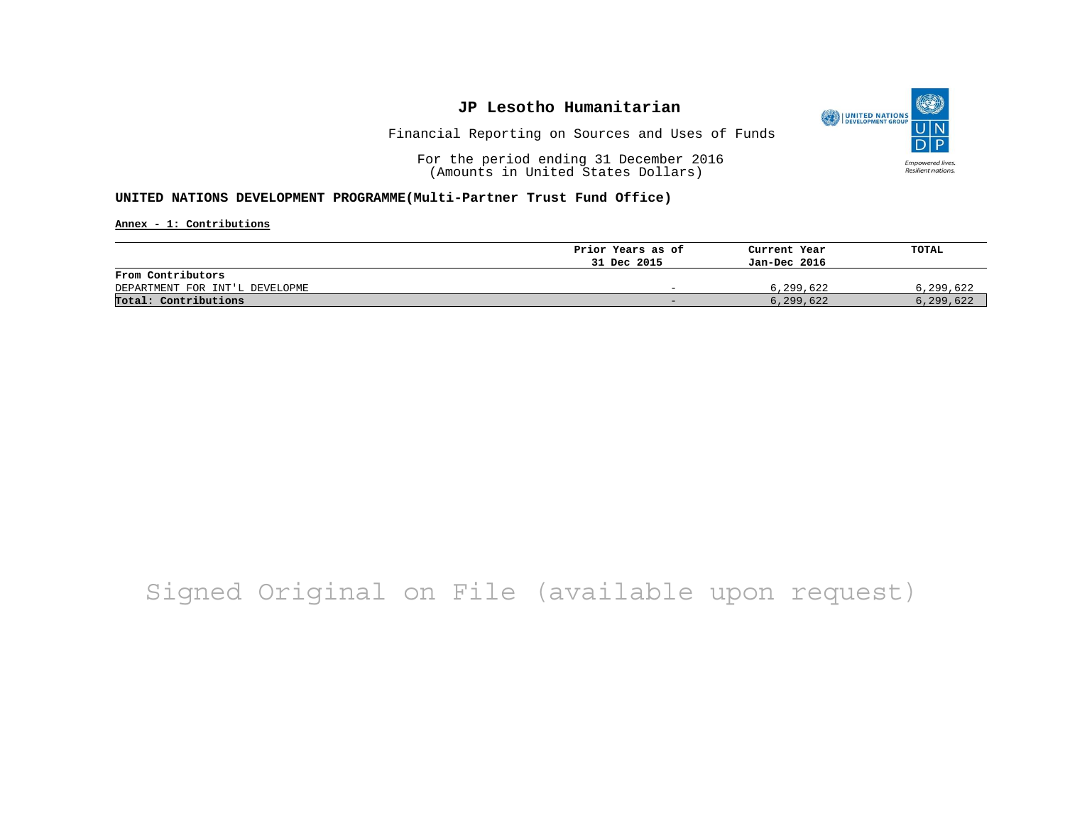

Financial Reporting on Sources and Uses of Funds

For the period ending 31 December 2016 (Amounts in United States Dollars)

#### **UNITED NATIONS DEVELOPMENT PROGRAMME(Multi-Partner Trust Fund Office)**

**Annex - 1: Contributions**

|                                | Prior Years as of | Current Year | TOTAL     |
|--------------------------------|-------------------|--------------|-----------|
|                                | 31 Dec 2015       | Jan-Dec 2016 |           |
| From Contributors              |                   |              |           |
| DEPARTMENT FOR INT'L DEVELOPME | -                 | 6,299,622    | 6,299,622 |
| Total: Contributions           | -                 | 6,299,622    | 6,299,622 |

## Signed Original on File (available upon request)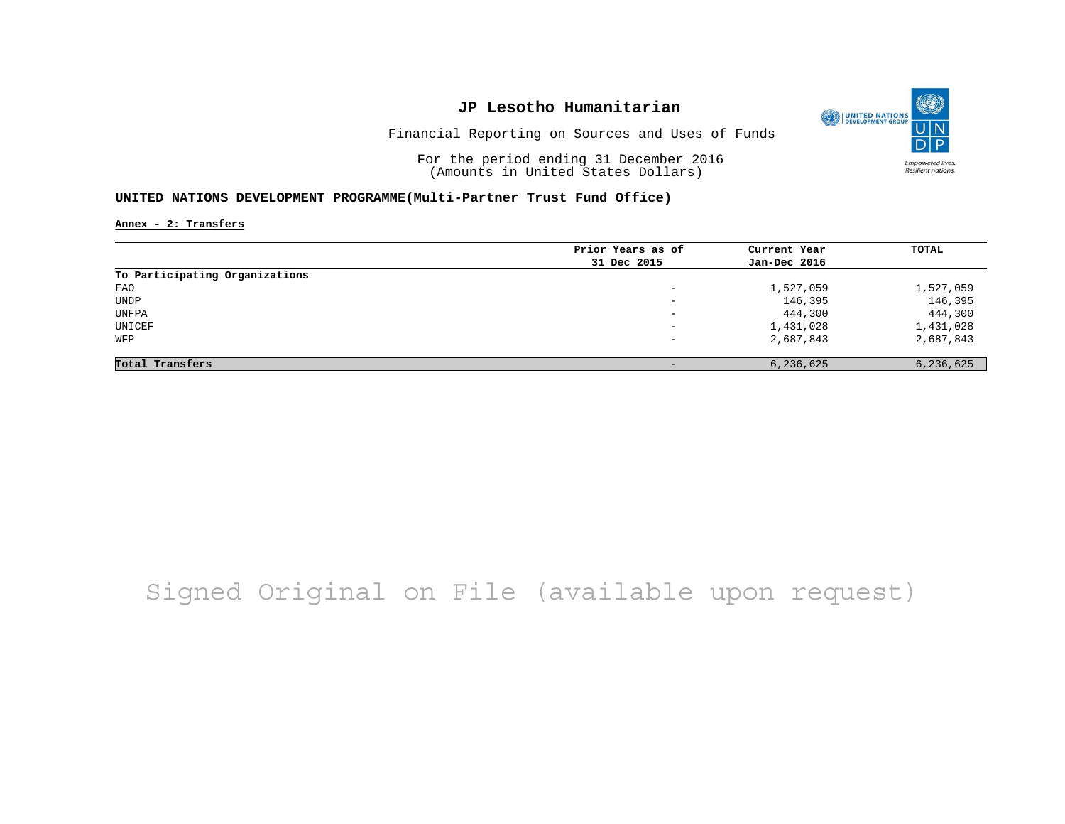

Financial Reporting on Sources and Uses of Funds

For the period ending 31 December 2016 (Amounts in United States Dollars)

#### **UNITED NATIONS DEVELOPMENT PROGRAMME(Multi-Partner Trust Fund Office)**

**Annex - 2: Transfers**

| Prior Years as of        | Current Year | TOTAL        |
|--------------------------|--------------|--------------|
|                          |              |              |
|                          |              |              |
| $-$                      | 1,527,059    | 1,527,059    |
| $\overline{\phantom{0}}$ | 146,395      | 146,395      |
| $\overline{\phantom{0}}$ | 444,300      | 444,300      |
| $\overline{\phantom{0}}$ | 1,431,028    | 1,431,028    |
| $-$                      | 2,687,843    | 2,687,843    |
|                          |              |              |
|                          | 6,236,625    | 6,236,625    |
|                          | 31 Dec 2015  | Jan-Dec 2016 |

# Signed Original on File (available upon request)